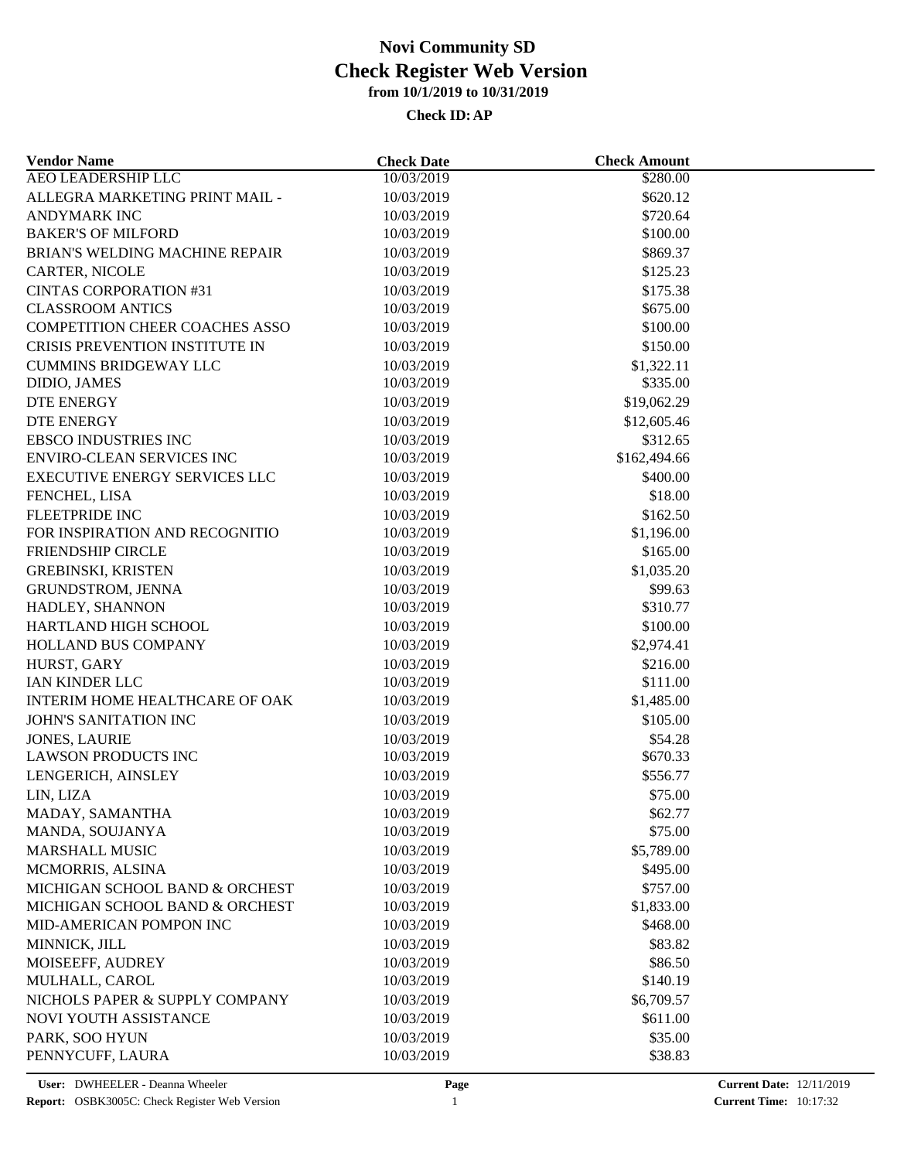| <b>Vendor Name</b>                    | <b>Check Date</b> | <b>Check Amount</b> |  |
|---------------------------------------|-------------------|---------------------|--|
| <b>AEO LEADERSHIP LLC</b>             | 10/03/2019        | \$280.00            |  |
| ALLEGRA MARKETING PRINT MAIL -        | 10/03/2019        | \$620.12            |  |
| <b>ANDYMARK INC</b>                   | 10/03/2019        | \$720.64            |  |
| <b>BAKER'S OF MILFORD</b>             | 10/03/2019        | \$100.00            |  |
| BRIAN'S WELDING MACHINE REPAIR        | 10/03/2019        | \$869.37            |  |
| CARTER, NICOLE                        | 10/03/2019        | \$125.23            |  |
| <b>CINTAS CORPORATION #31</b>         | 10/03/2019        | \$175.38            |  |
| <b>CLASSROOM ANTICS</b>               | 10/03/2019        | \$675.00            |  |
| <b>COMPETITION CHEER COACHES ASSO</b> | 10/03/2019        | \$100.00            |  |
| CRISIS PREVENTION INSTITUTE IN        | 10/03/2019        | \$150.00            |  |
| <b>CUMMINS BRIDGEWAY LLC</b>          | 10/03/2019        | \$1,322.11          |  |
| DIDIO, JAMES                          | 10/03/2019        | \$335.00            |  |
| DTE ENERGY                            | 10/03/2019        | \$19,062.29         |  |
| <b>DTE ENERGY</b>                     | 10/03/2019        | \$12,605.46         |  |
| <b>EBSCO INDUSTRIES INC</b>           | 10/03/2019        | \$312.65            |  |
| <b>ENVIRO-CLEAN SERVICES INC</b>      | 10/03/2019        | \$162,494.66        |  |
| <b>EXECUTIVE ENERGY SERVICES LLC</b>  | 10/03/2019        | \$400.00            |  |
| FENCHEL, LISA                         | 10/03/2019        | \$18.00             |  |
| FLEETPRIDE INC                        | 10/03/2019        | \$162.50            |  |
| FOR INSPIRATION AND RECOGNITIO        | 10/03/2019        | \$1,196.00          |  |
| <b>FRIENDSHIP CIRCLE</b>              | 10/03/2019        | \$165.00            |  |
| <b>GREBINSKI, KRISTEN</b>             | 10/03/2019        | \$1,035.20          |  |
| GRUNDSTROM, JENNA                     | 10/03/2019        | \$99.63             |  |
| HADLEY, SHANNON                       | 10/03/2019        | \$310.77            |  |
| HARTLAND HIGH SCHOOL                  | 10/03/2019        | \$100.00            |  |
| HOLLAND BUS COMPANY                   | 10/03/2019        | \$2,974.41          |  |
| HURST, GARY                           | 10/03/2019        | \$216.00            |  |
| IAN KINDER LLC                        | 10/03/2019        | \$111.00            |  |
| INTERIM HOME HEALTHCARE OF OAK        | 10/03/2019        | \$1,485.00          |  |
| JOHN'S SANITATION INC                 | 10/03/2019        | \$105.00            |  |
| <b>JONES, LAURIE</b>                  | 10/03/2019        | \$54.28             |  |
| LAWSON PRODUCTS INC                   | 10/03/2019        | \$670.33            |  |
| LENGERICH, AINSLEY                    | 10/03/2019        | \$556.77            |  |
| LIN, LIZA                             | 10/03/2019        | \$75.00             |  |
| MADAY, SAMANTHA                       | 10/03/2019        | \$62.77             |  |
| MANDA, SOUJANYA                       | 10/03/2019        | \$75.00             |  |
| <b>MARSHALL MUSIC</b>                 | 10/03/2019        | \$5,789.00          |  |
| MCMORRIS, ALSINA                      | 10/03/2019        | \$495.00            |  |
| MICHIGAN SCHOOL BAND & ORCHEST        | 10/03/2019        | \$757.00            |  |
| MICHIGAN SCHOOL BAND & ORCHEST        | 10/03/2019        | \$1,833.00          |  |
| MID-AMERICAN POMPON INC               | 10/03/2019        | \$468.00            |  |
| MINNICK, JILL                         | 10/03/2019        | \$83.82             |  |
| MOISEEFF, AUDREY                      | 10/03/2019        | \$86.50             |  |
| MULHALL, CAROL                        | 10/03/2019        | \$140.19            |  |
| NICHOLS PAPER & SUPPLY COMPANY        | 10/03/2019        | \$6,709.57          |  |
| NOVI YOUTH ASSISTANCE                 | 10/03/2019        | \$611.00            |  |
|                                       | 10/03/2019        |                     |  |
| PARK, SOO HYUN<br>PENNYCUFF, LAURA    | 10/03/2019        | \$35.00<br>\$38.83  |  |
|                                       |                   |                     |  |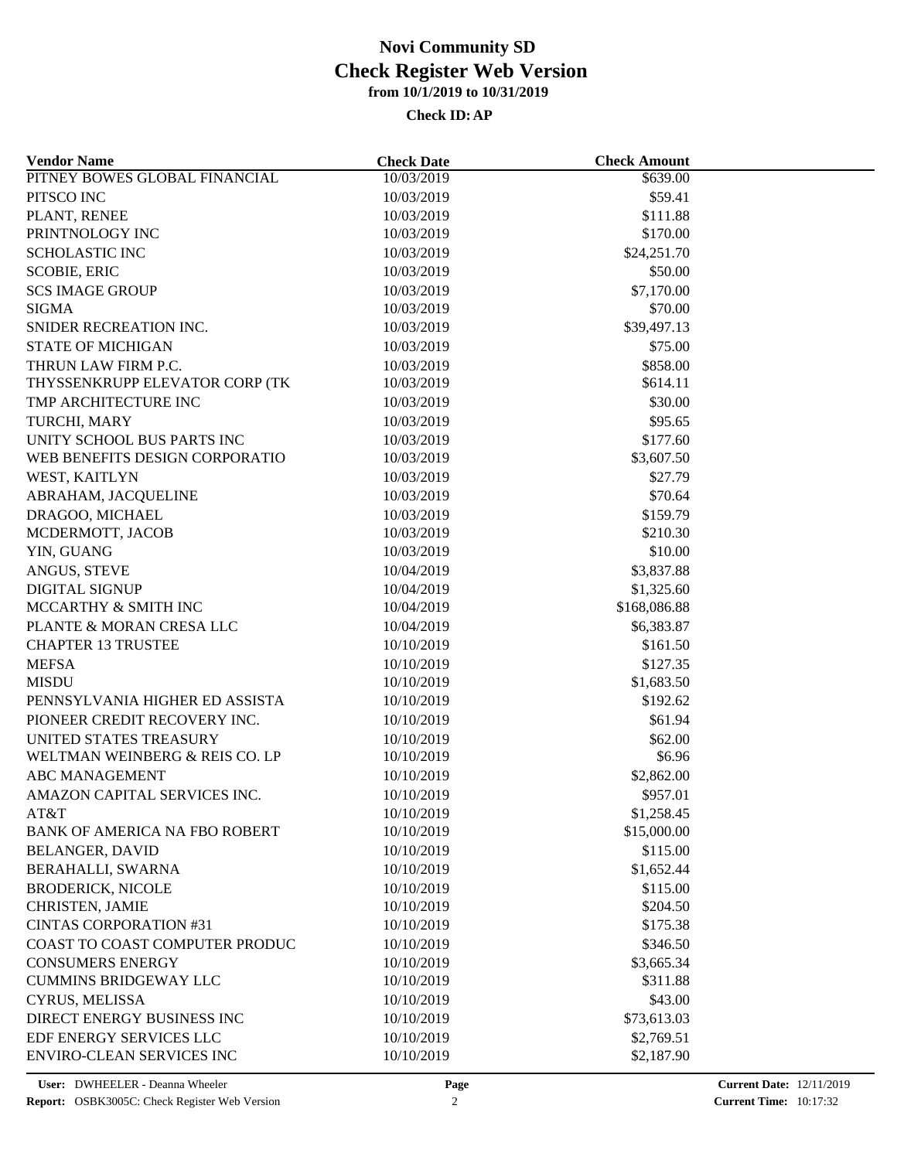| <b>Vendor Name</b>                   | <b>Check Date</b> | <b>Check Amount</b> |  |
|--------------------------------------|-------------------|---------------------|--|
| PITNEY BOWES GLOBAL FINANCIAL        | 10/03/2019        | \$639.00            |  |
| PITSCO INC                           | 10/03/2019        | \$59.41             |  |
| PLANT, RENEE                         | 10/03/2019        | \$111.88            |  |
| PRINTNOLOGY INC                      | 10/03/2019        | \$170.00            |  |
| <b>SCHOLASTIC INC</b>                | 10/03/2019        | \$24,251.70         |  |
| <b>SCOBIE, ERIC</b>                  | 10/03/2019        | \$50.00             |  |
| <b>SCS IMAGE GROUP</b>               | 10/03/2019        | \$7,170.00          |  |
| <b>SIGMA</b>                         | 10/03/2019        | \$70.00             |  |
| SNIDER RECREATION INC.               | 10/03/2019        | \$39,497.13         |  |
| <b>STATE OF MICHIGAN</b>             | 10/03/2019        | \$75.00             |  |
| THRUN LAW FIRM P.C.                  | 10/03/2019        | \$858.00            |  |
| THYSSENKRUPP ELEVATOR CORP (TK       | 10/03/2019        | \$614.11            |  |
| TMP ARCHITECTURE INC                 | 10/03/2019        | \$30.00             |  |
| TURCHI, MARY                         | 10/03/2019        | \$95.65             |  |
| UNITY SCHOOL BUS PARTS INC           | 10/03/2019        | \$177.60            |  |
| WEB BENEFITS DESIGN CORPORATIO       | 10/03/2019        | \$3,607.50          |  |
| WEST, KAITLYN                        | 10/03/2019        | \$27.79             |  |
| ABRAHAM, JACQUELINE                  | 10/03/2019        | \$70.64             |  |
| DRAGOO, MICHAEL                      | 10/03/2019        | \$159.79            |  |
| MCDERMOTT, JACOB                     | 10/03/2019        | \$210.30            |  |
|                                      |                   | \$10.00             |  |
| YIN, GUANG                           | 10/03/2019        |                     |  |
| ANGUS, STEVE                         | 10/04/2019        | \$3,837.88          |  |
| <b>DIGITAL SIGNUP</b>                | 10/04/2019        | \$1,325.60          |  |
| MCCARTHY & SMITH INC                 | 10/04/2019        | \$168,086.88        |  |
| PLANTE & MORAN CRESA LLC             | 10/04/2019        | \$6,383.87          |  |
| <b>CHAPTER 13 TRUSTEE</b>            | 10/10/2019        | \$161.50            |  |
| <b>MEFSA</b>                         | 10/10/2019        | \$127.35            |  |
| <b>MISDU</b>                         | 10/10/2019        | \$1,683.50          |  |
| PENNSYLVANIA HIGHER ED ASSISTA       | 10/10/2019        | \$192.62            |  |
| PIONEER CREDIT RECOVERY INC.         | 10/10/2019        | \$61.94             |  |
| UNITED STATES TREASURY               | 10/10/2019        | \$62.00             |  |
| WELTMAN WEINBERG & REIS CO. LP       | 10/10/2019        | \$6.96              |  |
| <b>ABC MANAGEMENT</b>                | 10/10/2019        | \$2,862.00          |  |
| AMAZON CAPITAL SERVICES INC.         | 10/10/2019        | \$957.01            |  |
| AT&T                                 | 10/10/2019        | \$1,258.45          |  |
| <b>BANK OF AMERICA NA FBO ROBERT</b> | 10/10/2019        | \$15,000.00         |  |
| <b>BELANGER, DAVID</b>               | 10/10/2019        | \$115.00            |  |
| BERAHALLI, SWARNA                    | 10/10/2019        | \$1,652.44          |  |
| <b>BRODERICK, NICOLE</b>             | 10/10/2019        | \$115.00            |  |
| CHRISTEN, JAMIE                      | 10/10/2019        | \$204.50            |  |
| <b>CINTAS CORPORATION #31</b>        | 10/10/2019        | \$175.38            |  |
| COAST TO COAST COMPUTER PRODUC       | 10/10/2019        | \$346.50            |  |
| <b>CONSUMERS ENERGY</b>              | 10/10/2019        | \$3,665.34          |  |
| <b>CUMMINS BRIDGEWAY LLC</b>         | 10/10/2019        | \$311.88            |  |
| CYRUS, MELISSA                       | 10/10/2019        | \$43.00             |  |
| DIRECT ENERGY BUSINESS INC           | 10/10/2019        | \$73,613.03         |  |
| EDF ENERGY SERVICES LLC              | 10/10/2019        | \$2,769.51          |  |
| ENVIRO-CLEAN SERVICES INC            | 10/10/2019        | \$2,187.90          |  |
|                                      |                   |                     |  |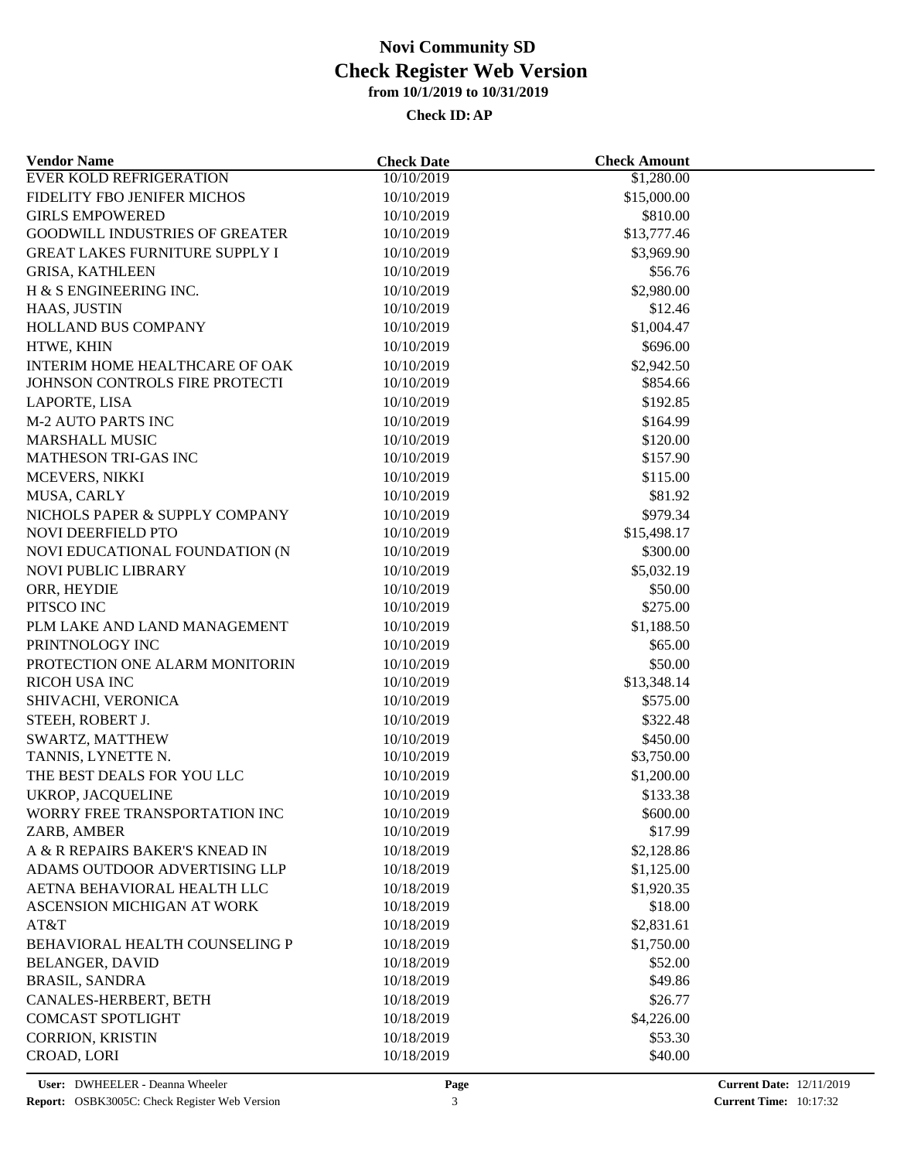| <b>Vendor Name</b>                    | <b>Check Date</b> | <b>Check Amount</b> |  |
|---------------------------------------|-------------------|---------------------|--|
| <b>EVER KOLD REFRIGERATION</b>        | 10/10/2019        | \$1,280.00          |  |
| FIDELITY FBO JENIFER MICHOS           | 10/10/2019        | \$15,000.00         |  |
| <b>GIRLS EMPOWERED</b>                | 10/10/2019        | \$810.00            |  |
| <b>GOODWILL INDUSTRIES OF GREATER</b> | 10/10/2019        | \$13,777.46         |  |
| <b>GREAT LAKES FURNITURE SUPPLY I</b> | 10/10/2019        | \$3,969.90          |  |
| <b>GRISA, KATHLEEN</b>                | 10/10/2019        | \$56.76             |  |
| H & S ENGINEERING INC.                | 10/10/2019        | \$2,980.00          |  |
| HAAS, JUSTIN                          | 10/10/2019        | \$12.46             |  |
| <b>HOLLAND BUS COMPANY</b>            | 10/10/2019        | \$1,004.47          |  |
| HTWE, KHIN                            | 10/10/2019        | \$696.00            |  |
| INTERIM HOME HEALTHCARE OF OAK        | 10/10/2019        | \$2,942.50          |  |
| JOHNSON CONTROLS FIRE PROTECTI        | 10/10/2019        | \$854.66            |  |
| LAPORTE, LISA                         | 10/10/2019        | \$192.85            |  |
| <b>M-2 AUTO PARTS INC</b>             | 10/10/2019        | \$164.99            |  |
| <b>MARSHALL MUSIC</b>                 | 10/10/2019        | \$120.00            |  |
| MATHESON TRI-GAS INC                  | 10/10/2019        | \$157.90            |  |
| MCEVERS, NIKKI                        | 10/10/2019        | \$115.00            |  |
| MUSA, CARLY                           | 10/10/2019        | \$81.92             |  |
| NICHOLS PAPER & SUPPLY COMPANY        | 10/10/2019        | \$979.34            |  |
| NOVI DEERFIELD PTO                    | 10/10/2019        | \$15,498.17         |  |
| NOVI EDUCATIONAL FOUNDATION (N        | 10/10/2019        | \$300.00            |  |
| <b>NOVI PUBLIC LIBRARY</b>            | 10/10/2019        | \$5,032.19          |  |
| ORR, HEYDIE                           | 10/10/2019        | \$50.00             |  |
| PITSCO INC                            | 10/10/2019        | \$275.00            |  |
| PLM LAKE AND LAND MANAGEMENT          | 10/10/2019        | \$1,188.50          |  |
| PRINTNOLOGY INC                       | 10/10/2019        | \$65.00             |  |
| PROTECTION ONE ALARM MONITORIN        | 10/10/2019        | \$50.00             |  |
| <b>RICOH USA INC</b>                  | 10/10/2019        | \$13,348.14         |  |
| SHIVACHI, VERONICA                    | 10/10/2019        | \$575.00            |  |
| STEEH, ROBERT J.                      | 10/10/2019        | \$322.48            |  |
| SWARTZ, MATTHEW                       | 10/10/2019        | \$450.00            |  |
| TANNIS, LYNETTE N.                    | 10/10/2019        | \$3,750.00          |  |
| THE BEST DEALS FOR YOU LLC            | 10/10/2019        | \$1,200.00          |  |
| <b>UKROP, JACQUELINE</b>              | 10/10/2019        | \$133.38            |  |
| WORRY FREE TRANSPORTATION INC         | 10/10/2019        | \$600.00            |  |
| ZARB, AMBER                           | 10/10/2019        | \$17.99             |  |
| A & R REPAIRS BAKER'S KNEAD IN        | 10/18/2019        | \$2,128.86          |  |
| ADAMS OUTDOOR ADVERTISING LLP         | 10/18/2019        | \$1,125.00          |  |
| AETNA BEHAVIORAL HEALTH LLC           | 10/18/2019        | \$1,920.35          |  |
| ASCENSION MICHIGAN AT WORK            | 10/18/2019        | \$18.00             |  |
| AT&T                                  | 10/18/2019        | \$2,831.61          |  |
| BEHAVIORAL HEALTH COUNSELING P        | 10/18/2019        | \$1,750.00          |  |
| <b>BELANGER, DAVID</b>                | 10/18/2019        | \$52.00             |  |
| <b>BRASIL, SANDRA</b>                 | 10/18/2019        | \$49.86             |  |
| CANALES-HERBERT, BETH                 | 10/18/2019        | \$26.77             |  |
| <b>COMCAST SPOTLIGHT</b>              | 10/18/2019        | \$4,226.00          |  |
| <b>CORRION, KRISTIN</b>               | 10/18/2019        | \$53.30             |  |
| CROAD, LORI                           | 10/18/2019        | \$40.00             |  |
|                                       |                   |                     |  |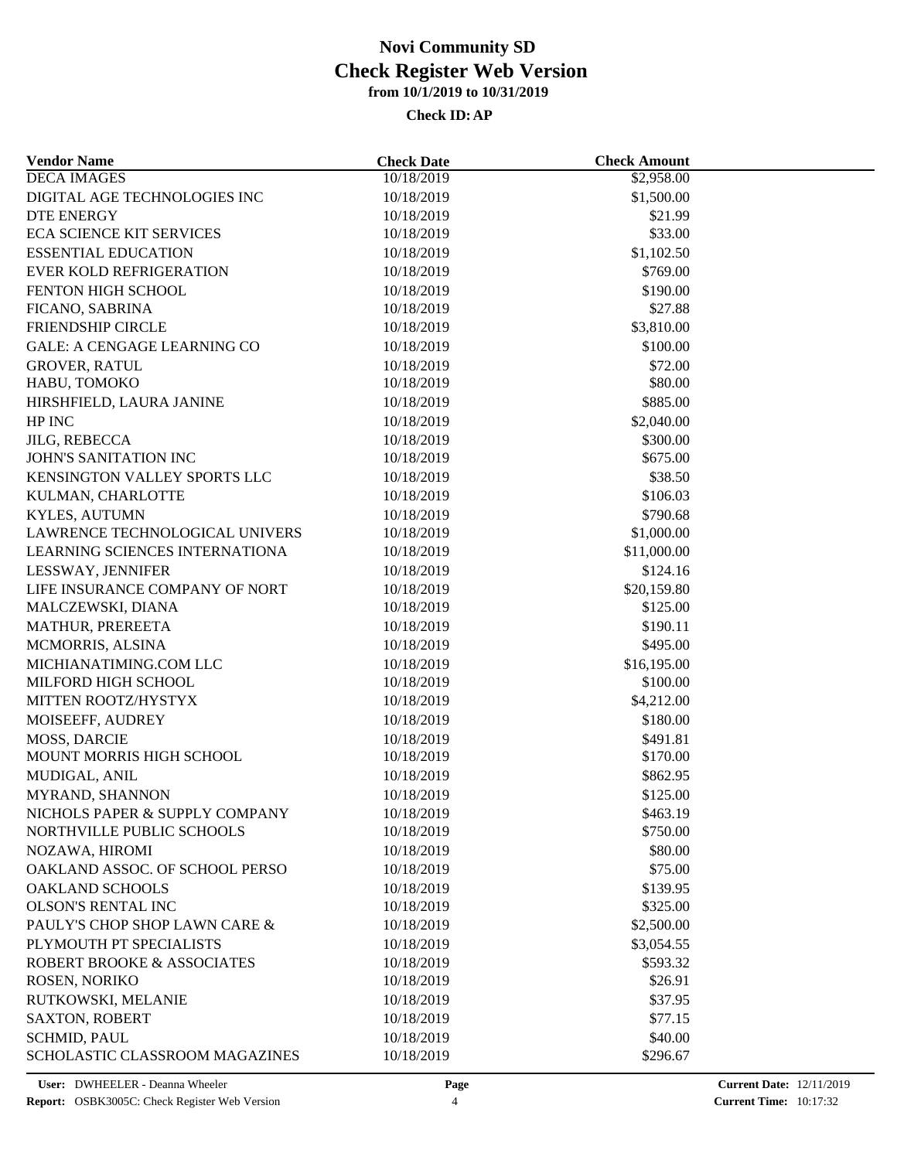| <b>Vendor Name</b>                 | <b>Check Date</b> | <b>Check Amount</b> |  |
|------------------------------------|-------------------|---------------------|--|
| <b>DECA IMAGES</b>                 | 10/18/2019        | \$2,958.00          |  |
| DIGITAL AGE TECHNOLOGIES INC       | 10/18/2019        | \$1,500.00          |  |
| <b>DTE ENERGY</b>                  | 10/18/2019        | \$21.99             |  |
| <b>ECA SCIENCE KIT SERVICES</b>    | 10/18/2019        | \$33.00             |  |
| <b>ESSENTIAL EDUCATION</b>         | 10/18/2019        | \$1,102.50          |  |
| <b>EVER KOLD REFRIGERATION</b>     | 10/18/2019        | \$769.00            |  |
| FENTON HIGH SCHOOL                 | 10/18/2019        | \$190.00            |  |
| FICANO, SABRINA                    | 10/18/2019        | \$27.88             |  |
| <b>FRIENDSHIP CIRCLE</b>           | 10/18/2019        | \$3,810.00          |  |
| <b>GALE: A CENGAGE LEARNING CO</b> | 10/18/2019        | \$100.00            |  |
| <b>GROVER, RATUL</b>               | 10/18/2019        | \$72.00             |  |
| HABU, TOMOKO                       | 10/18/2019        | \$80.00             |  |
| HIRSHFIELD, LAURA JANINE           | 10/18/2019        | \$885.00            |  |
| HP INC                             | 10/18/2019        | \$2,040.00          |  |
| JILG, REBECCA                      | 10/18/2019        | \$300.00            |  |
| JOHN'S SANITATION INC              | 10/18/2019        | \$675.00            |  |
| KENSINGTON VALLEY SPORTS LLC       | 10/18/2019        | \$38.50             |  |
| KULMAN, CHARLOTTE                  | 10/18/2019        | \$106.03            |  |
| <b>KYLES, AUTUMN</b>               | 10/18/2019        | \$790.68            |  |
| LAWRENCE TECHNOLOGICAL UNIVERS     | 10/18/2019        | \$1,000.00          |  |
| LEARNING SCIENCES INTERNATIONA     | 10/18/2019        | \$11,000.00         |  |
| LESSWAY, JENNIFER                  | 10/18/2019        | \$124.16            |  |
| LIFE INSURANCE COMPANY OF NORT     | 10/18/2019        | \$20,159.80         |  |
| MALCZEWSKI, DIANA                  | 10/18/2019        | \$125.00            |  |
| MATHUR, PREREETA                   | 10/18/2019        | \$190.11            |  |
| MCMORRIS, ALSINA                   | 10/18/2019        | \$495.00            |  |
| MICHIANATIMING.COM LLC             | 10/18/2019        | \$16,195.00         |  |
| MILFORD HIGH SCHOOL                | 10/18/2019        | \$100.00            |  |
| MITTEN ROOTZ/HYSTYX                | 10/18/2019        | \$4,212.00          |  |
| MOISEEFF, AUDREY                   | 10/18/2019        | \$180.00            |  |
| MOSS, DARCIE                       | 10/18/2019        | \$491.81            |  |
| MOUNT MORRIS HIGH SCHOOL           | 10/18/2019        | \$170.00            |  |
| MUDIGAL, ANIL                      | 10/18/2019        | \$862.95            |  |
| MYRAND, SHANNON                    | 10/18/2019        | \$125.00            |  |
| NICHOLS PAPER & SUPPLY COMPANY     | 10/18/2019        | \$463.19            |  |
| NORTHVILLE PUBLIC SCHOOLS          | 10/18/2019        | \$750.00            |  |
| NOZAWA, HIROMI                     | 10/18/2019        | \$80.00             |  |
| OAKLAND ASSOC. OF SCHOOL PERSO     | 10/18/2019        | \$75.00             |  |
| <b>OAKLAND SCHOOLS</b>             | 10/18/2019        | \$139.95            |  |
| <b>OLSON'S RENTAL INC</b>          | 10/18/2019        | \$325.00            |  |
| PAULY'S CHOP SHOP LAWN CARE &      | 10/18/2019        | \$2,500.00          |  |
| PLYMOUTH PT SPECIALISTS            |                   |                     |  |
|                                    | 10/18/2019        | \$3,054.55          |  |
| ROBERT BROOKE & ASSOCIATES         | 10/18/2019        | \$593.32            |  |
| ROSEN, NORIKO                      | 10/18/2019        | \$26.91             |  |
| RUTKOWSKI, MELANIE                 | 10/18/2019        | \$37.95             |  |
| <b>SAXTON, ROBERT</b>              | 10/18/2019        | \$77.15             |  |
| <b>SCHMID, PAUL</b>                | 10/18/2019        | \$40.00             |  |
| SCHOLASTIC CLASSROOM MAGAZINES     | 10/18/2019        | \$296.67            |  |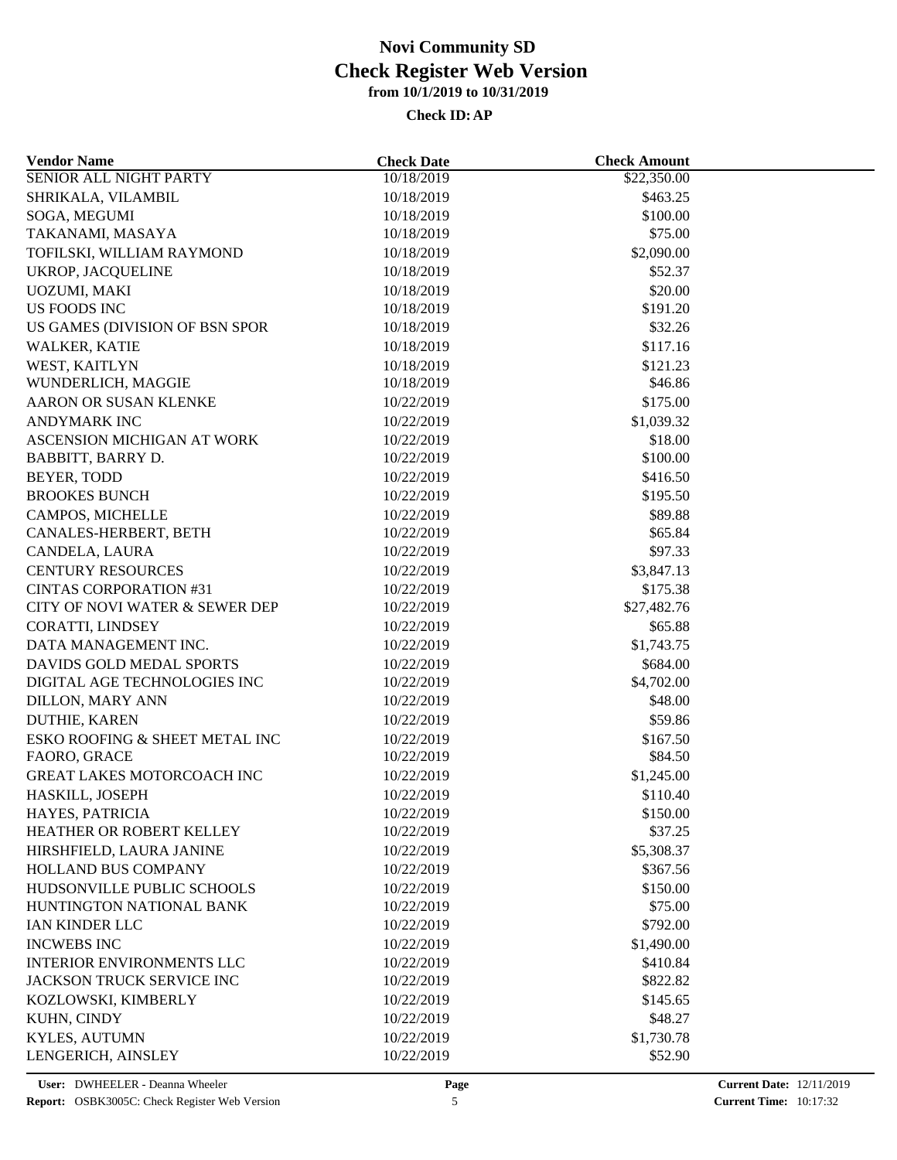| <b>Vendor Name</b>               | <b>Check Date</b> | <b>Check Amount</b> |  |
|----------------------------------|-------------------|---------------------|--|
| <b>SENIOR ALL NIGHT PARTY</b>    | 10/18/2019        | \$22,350.00         |  |
| SHRIKALA, VILAMBIL               | 10/18/2019        | \$463.25            |  |
| SOGA, MEGUMI                     | 10/18/2019        | \$100.00            |  |
| TAKANAMI, MASAYA                 | 10/18/2019        | \$75.00             |  |
| TOFILSKI, WILLIAM RAYMOND        | 10/18/2019        | \$2,090.00          |  |
| <b>UKROP, JACQUELINE</b>         | 10/18/2019        | \$52.37             |  |
| UOZUMI, MAKI                     | 10/18/2019        | \$20.00             |  |
| <b>US FOODS INC</b>              | 10/18/2019        | \$191.20            |  |
| US GAMES (DIVISION OF BSN SPOR   | 10/18/2019        | \$32.26             |  |
| WALKER, KATIE                    | 10/18/2019        | \$117.16            |  |
| WEST, KAITLYN                    | 10/18/2019        | \$121.23            |  |
| WUNDERLICH, MAGGIE               | 10/18/2019        | \$46.86             |  |
| AARON OR SUSAN KLENKE            | 10/22/2019        | \$175.00            |  |
| <b>ANDYMARK INC</b>              | 10/22/2019        | \$1,039.32          |  |
| ASCENSION MICHIGAN AT WORK       | 10/22/2019        | \$18.00             |  |
| BABBITT, BARRY D.                | 10/22/2019        | \$100.00            |  |
| <b>BEYER, TODD</b>               | 10/22/2019        | \$416.50            |  |
| <b>BROOKES BUNCH</b>             | 10/22/2019        | \$195.50            |  |
| CAMPOS, MICHELLE                 | 10/22/2019        | \$89.88             |  |
| CANALES-HERBERT, BETH            | 10/22/2019        | \$65.84             |  |
| CANDELA, LAURA                   | 10/22/2019        | \$97.33             |  |
| <b>CENTURY RESOURCES</b>         | 10/22/2019        | \$3,847.13          |  |
| <b>CINTAS CORPORATION #31</b>    | 10/22/2019        | \$175.38            |  |
| CITY OF NOVI WATER & SEWER DEP   | 10/22/2019        | \$27,482.76         |  |
| CORATTI, LINDSEY                 | 10/22/2019        | \$65.88             |  |
| DATA MANAGEMENT INC.             | 10/22/2019        | \$1,743.75          |  |
| DAVIDS GOLD MEDAL SPORTS         | 10/22/2019        | \$684.00            |  |
| DIGITAL AGE TECHNOLOGIES INC     | 10/22/2019        | \$4,702.00          |  |
| DILLON, MARY ANN                 | 10/22/2019        | \$48.00             |  |
|                                  |                   |                     |  |
| DUTHIE, KAREN                    | 10/22/2019        | \$59.86             |  |
| ESKO ROOFING & SHEET METAL INC   | 10/22/2019        | \$167.50            |  |
| FAORO, GRACE                     | 10/22/2019        | \$84.50             |  |
| GREAT LAKES MOTORCOACH INC       | 10/22/2019        | \$1,245.00          |  |
| HASKILL, JOSEPH                  | 10/22/2019        | \$110.40            |  |
| HAYES, PATRICIA                  | 10/22/2019        | \$150.00            |  |
| HEATHER OR ROBERT KELLEY         | 10/22/2019        | \$37.25             |  |
| HIRSHFIELD, LAURA JANINE         | 10/22/2019        | \$5,308.37          |  |
| HOLLAND BUS COMPANY              | 10/22/2019        | \$367.56            |  |
| HUDSONVILLE PUBLIC SCHOOLS       | 10/22/2019        | \$150.00            |  |
| HUNTINGTON NATIONAL BANK         | 10/22/2019        | \$75.00             |  |
| IAN KINDER LLC                   | 10/22/2019        | \$792.00            |  |
| <b>INCWEBS INC</b>               | 10/22/2019        | \$1,490.00          |  |
| <b>INTERIOR ENVIRONMENTS LLC</b> | 10/22/2019        | \$410.84            |  |
| <b>JACKSON TRUCK SERVICE INC</b> | 10/22/2019        | \$822.82            |  |
| KOZLOWSKI, KIMBERLY              | 10/22/2019        | \$145.65            |  |
| KUHN, CINDY                      | 10/22/2019        | \$48.27             |  |
| KYLES, AUTUMN                    | 10/22/2019        | \$1,730.78          |  |
| LENGERICH, AINSLEY               | 10/22/2019        | \$52.90             |  |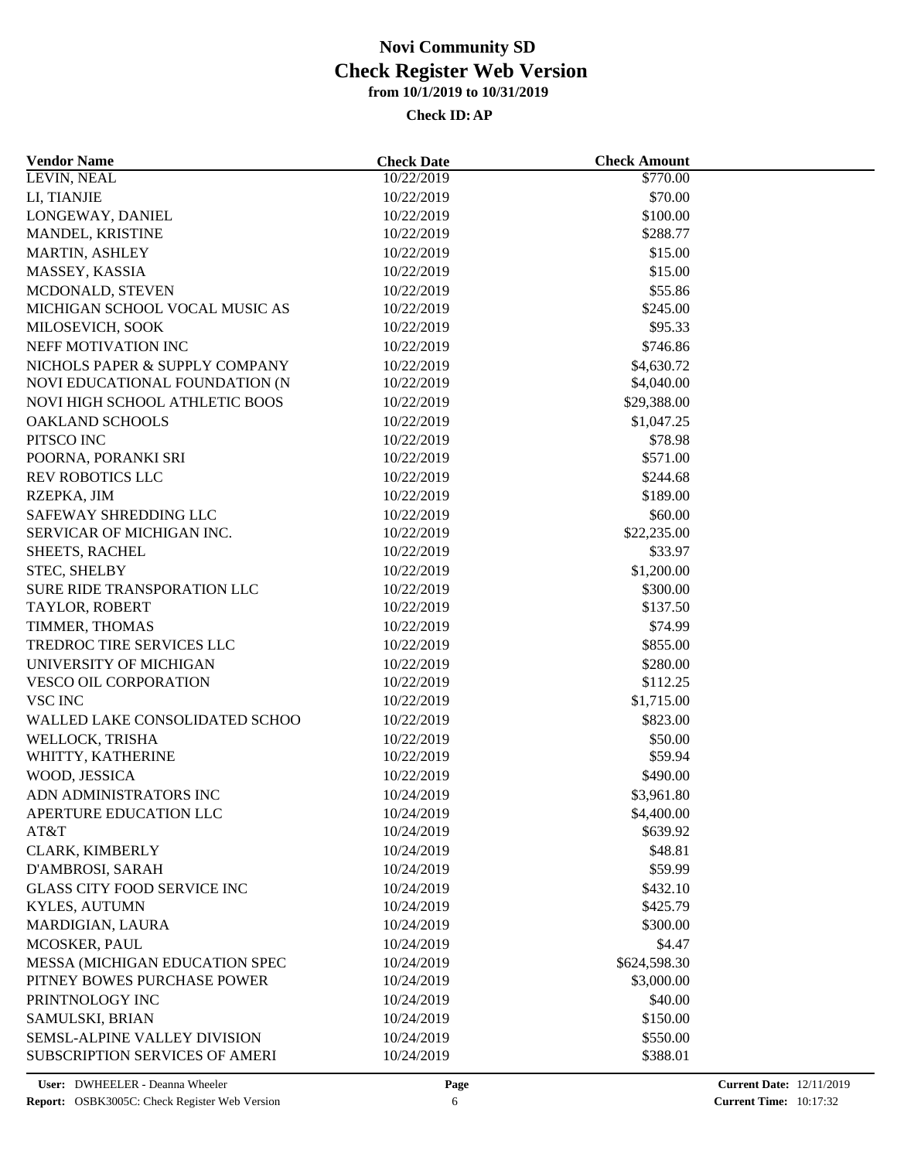| 10/22/2019<br>LEVIN, NEAL<br>\$770.00                         |  |
|---------------------------------------------------------------|--|
| LI, TIANJIE<br>\$70.00<br>10/22/2019                          |  |
| LONGEWAY, DANIEL<br>10/22/2019<br>\$100.00                    |  |
| \$288.77<br>MANDEL, KRISTINE<br>10/22/2019                    |  |
| \$15.00<br>MARTIN, ASHLEY<br>10/22/2019                       |  |
| \$15.00<br>MASSEY, KASSIA<br>10/22/2019                       |  |
| MCDONALD, STEVEN<br>10/22/2019<br>\$55.86                     |  |
| MICHIGAN SCHOOL VOCAL MUSIC AS<br>10/22/2019<br>\$245.00      |  |
| \$95.33<br>MILOSEVICH, SOOK<br>10/22/2019                     |  |
| \$746.86<br>NEFF MOTIVATION INC<br>10/22/2019                 |  |
| NICHOLS PAPER & SUPPLY COMPANY<br>\$4,630.72<br>10/22/2019    |  |
| NOVI EDUCATIONAL FOUNDATION (N<br>10/22/2019<br>\$4,040.00    |  |
| NOVI HIGH SCHOOL ATHLETIC BOOS<br>10/22/2019<br>\$29,388.00   |  |
| <b>OAKLAND SCHOOLS</b><br>10/22/2019<br>\$1,047.25            |  |
| PITSCO INC<br>10/22/2019<br>\$78.98                           |  |
| POORNA, PORANKI SRI<br>\$571.00<br>10/22/2019                 |  |
| <b>REV ROBOTICS LLC</b><br>10/22/2019<br>\$244.68             |  |
| 10/22/2019<br>\$189.00<br>RZEPKA, JIM                         |  |
| \$60.00<br>SAFEWAY SHREDDING LLC<br>10/22/2019                |  |
| \$22,235.00<br>SERVICAR OF MICHIGAN INC.<br>10/22/2019        |  |
| \$33.97<br>SHEETS, RACHEL<br>10/22/2019                       |  |
| STEC, SHELBY<br>10/22/2019<br>\$1,200.00                      |  |
| SURE RIDE TRANSPORATION LLC<br>\$300.00<br>10/22/2019         |  |
| TAYLOR, ROBERT<br>10/22/2019<br>\$137.50                      |  |
| \$74.99<br>TIMMER, THOMAS<br>10/22/2019                       |  |
| TREDROC TIRE SERVICES LLC<br>\$855.00                         |  |
| 10/22/2019                                                    |  |
| UNIVERSITY OF MICHIGAN<br>10/22/2019<br>\$280.00              |  |
| VESCO OIL CORPORATION<br>10/22/2019<br>\$112.25               |  |
| <b>VSC INC</b><br>10/22/2019<br>\$1,715.00                    |  |
| WALLED LAKE CONSOLIDATED SCHOO<br>10/22/2019<br>\$823.00      |  |
| WELLOCK, TRISHA<br>10/22/2019<br>\$50.00                      |  |
| \$59.94<br>WHITTY, KATHERINE<br>10/22/2019                    |  |
| \$490.00<br>WOOD, JESSICA<br>10/22/2019                       |  |
| ADN ADMINISTRATORS INC<br>10/24/2019<br>\$3,961.80            |  |
| \$4,400.00<br>APERTURE EDUCATION LLC<br>10/24/2019            |  |
| AT&T<br>10/24/2019<br>\$639.92                                |  |
| \$48.81<br>CLARK, KIMBERLY<br>10/24/2019                      |  |
| \$59.99<br>D'AMBROSI, SARAH<br>10/24/2019                     |  |
| <b>GLASS CITY FOOD SERVICE INC</b><br>10/24/2019<br>\$432.10  |  |
| KYLES, AUTUMN<br>10/24/2019<br>\$425.79                       |  |
| \$300.00<br>MARDIGIAN, LAURA<br>10/24/2019                    |  |
| MCOSKER, PAUL<br>\$4.47<br>10/24/2019                         |  |
| MESSA (MICHIGAN EDUCATION SPEC<br>10/24/2019<br>\$624,598.30  |  |
| \$3,000.00<br>PITNEY BOWES PURCHASE POWER<br>10/24/2019       |  |
| \$40.00<br>PRINTNOLOGY INC<br>10/24/2019                      |  |
| SAMULSKI, BRIAN<br>10/24/2019<br>\$150.00                     |  |
| <b>SEMSL-ALPINE VALLEY DIVISION</b><br>\$550.00<br>10/24/2019 |  |
| SUBSCRIPTION SERVICES OF AMERI<br>\$388.01<br>10/24/2019      |  |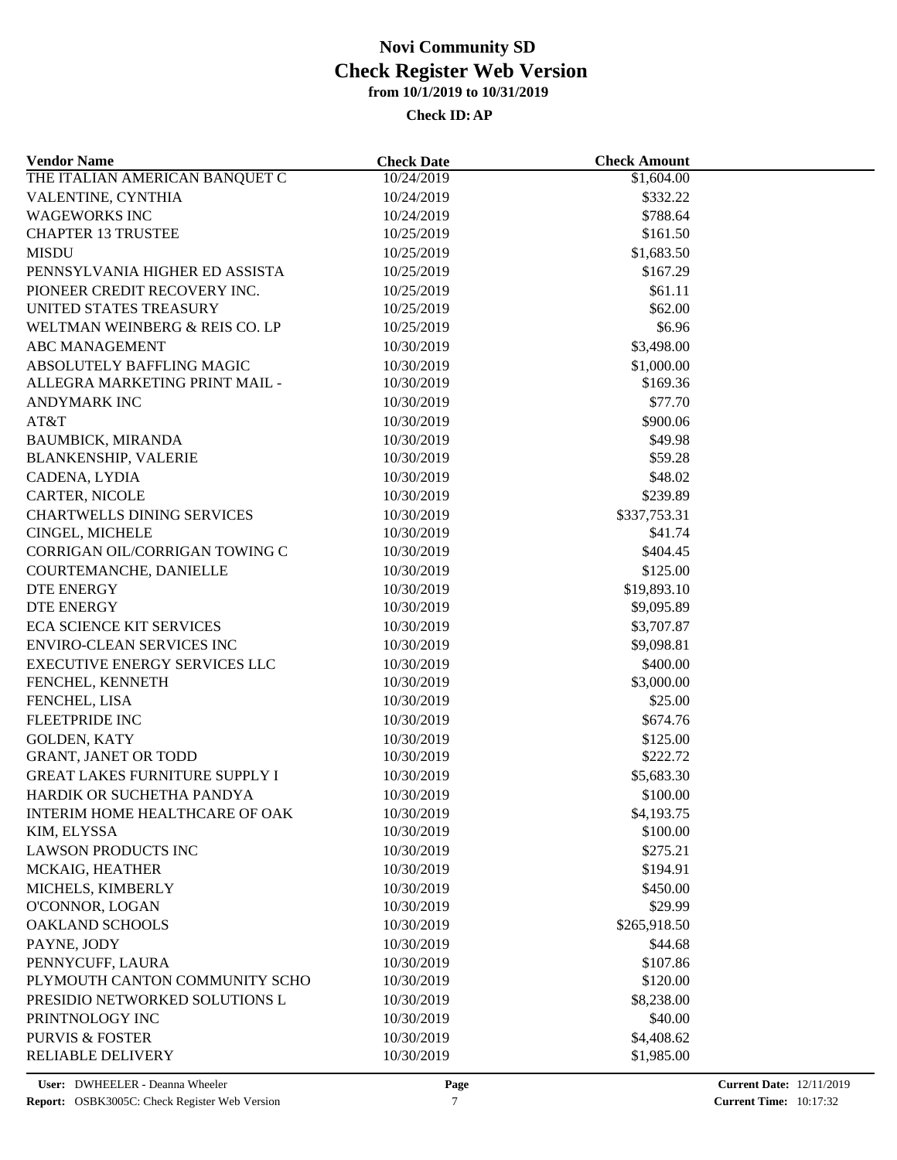| <b>Vendor Name</b>                            | <b>Check Date</b> | <b>Check Amount</b>    |  |
|-----------------------------------------------|-------------------|------------------------|--|
| THE ITALIAN AMERICAN BANQUET C                | 10/24/2019        | \$1,604.00             |  |
| VALENTINE, CYNTHIA                            | 10/24/2019        | \$332.22               |  |
| <b>WAGEWORKS INC</b>                          | 10/24/2019        | \$788.64               |  |
| <b>CHAPTER 13 TRUSTEE</b>                     | 10/25/2019        | \$161.50               |  |
| <b>MISDU</b>                                  | 10/25/2019        | \$1,683.50             |  |
| PENNSYLVANIA HIGHER ED ASSISTA                | 10/25/2019        | \$167.29               |  |
| PIONEER CREDIT RECOVERY INC.                  | 10/25/2019        | \$61.11                |  |
| UNITED STATES TREASURY                        | 10/25/2019        | \$62.00                |  |
| WELTMAN WEINBERG & REIS CO. LP                | 10/25/2019        | \$6.96                 |  |
| <b>ABC MANAGEMENT</b>                         | 10/30/2019        | \$3,498.00             |  |
| ABSOLUTELY BAFFLING MAGIC                     | 10/30/2019        | \$1,000.00             |  |
| ALLEGRA MARKETING PRINT MAIL -                | 10/30/2019        | \$169.36               |  |
| ANDYMARK INC                                  | 10/30/2019        | \$77.70                |  |
| AT&T                                          | 10/30/2019        | \$900.06               |  |
| <b>BAUMBICK, MIRANDA</b>                      | 10/30/2019        | \$49.98                |  |
| <b>BLANKENSHIP, VALERIE</b>                   | 10/30/2019        | \$59.28                |  |
| CADENA, LYDIA                                 | 10/30/2019        | \$48.02                |  |
| CARTER, NICOLE                                | 10/30/2019        | \$239.89               |  |
| <b>CHARTWELLS DINING SERVICES</b>             | 10/30/2019        | \$337,753.31           |  |
| CINGEL, MICHELE                               | 10/30/2019        | \$41.74                |  |
| CORRIGAN OIL/CORRIGAN TOWING C                | 10/30/2019        | \$404.45               |  |
| COURTEMANCHE, DANIELLE                        | 10/30/2019        | \$125.00               |  |
| <b>DTE ENERGY</b>                             | 10/30/2019        | \$19,893.10            |  |
| DTE ENERGY                                    | 10/30/2019        | \$9,095.89             |  |
| <b>ECA SCIENCE KIT SERVICES</b>               | 10/30/2019        | \$3,707.87             |  |
| <b>ENVIRO-CLEAN SERVICES INC</b>              | 10/30/2019        | \$9,098.81             |  |
| EXECUTIVE ENERGY SERVICES LLC                 | 10/30/2019        | \$400.00               |  |
| FENCHEL, KENNETH                              | 10/30/2019        | \$3,000.00             |  |
| FENCHEL, LISA                                 | 10/30/2019        | \$25.00                |  |
| FLEETPRIDE INC                                | 10/30/2019        | \$674.76               |  |
| <b>GOLDEN, KATY</b>                           | 10/30/2019        | \$125.00               |  |
| GRANT, JANET OR TODD                          | 10/30/2019        | \$222.72               |  |
| <b>GREAT LAKES FURNITURE SUPPLY I</b>         | 10/30/2019        | \$5,683.30             |  |
| HARDIK OR SUCHETHA PANDYA                     | 10/30/2019        | \$100.00               |  |
|                                               | 10/30/2019        |                        |  |
| INTERIM HOME HEALTHCARE OF OAK<br>KIM, ELYSSA | 10/30/2019        | \$4,193.75<br>\$100.00 |  |
| <b>LAWSON PRODUCTS INC</b>                    | 10/30/2019        | \$275.21               |  |
|                                               |                   |                        |  |
| MCKAIG, HEATHER                               | 10/30/2019        | \$194.91               |  |
| MICHELS, KIMBERLY                             | 10/30/2019        | \$450.00               |  |
| O'CONNOR, LOGAN                               | 10/30/2019        | \$29.99                |  |
| <b>OAKLAND SCHOOLS</b>                        | 10/30/2019        | \$265,918.50           |  |
| PAYNE, JODY                                   | 10/30/2019        | \$44.68                |  |
| PENNYCUFF, LAURA                              | 10/30/2019        | \$107.86               |  |
| PLYMOUTH CANTON COMMUNITY SCHO                | 10/30/2019        | \$120.00               |  |
| PRESIDIO NETWORKED SOLUTIONS L                | 10/30/2019        | \$8,238.00             |  |
| PRINTNOLOGY INC                               | 10/30/2019        | \$40.00                |  |
| <b>PURVIS &amp; FOSTER</b>                    | 10/30/2019        | \$4,408.62             |  |
| <b>RELIABLE DELIVERY</b>                      | 10/30/2019        | \$1,985.00             |  |